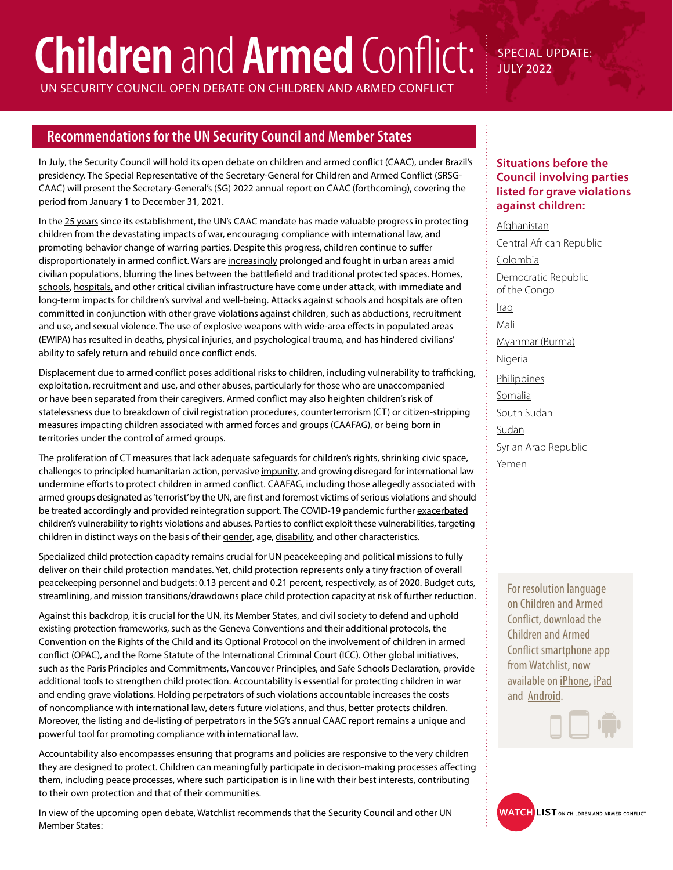# **Children** and **Armed** Conflict:

SPECIAL UPDATE: JULY 2022

UN SECURITY COUNCIL OPEN DEBATE ON CHILDREN AND ARMED CONFLICT

# **Recommendations for the UN Security Council and Member States**

In July, the Security Council will hold its open debate on children and armed conflict (CAAC), under Brazil's presidency. The Special Representative of the Secretary-General for Children and Armed Conflict (SRSG-CAAC) will present the Secretary-General's (SG) 2022 annual report on CAAC (forthcoming), covering the period from January 1 to December 31, 2021.

In the [25 years](https://childrenandarmedconflict.un.org/2022/01/25th-anniversary-of-the-children-and-armed-conflict-mandate-event-video/) since its establishment, the UN's CAAC mandate has made valuable progress in protecting children from the devastating impacts of war, encouraging compliance with international law, and promoting behavior change of warring parties. Despite this progress, children continue to suffer disproportionately in armed conflict. Wars are [increasingly](https://resourcecentre.savethechildren.net/pdf/report_stop_the_war_on_children.pdf/) prolonged and fought in urban areas amid civilian populations, blurring the lines between the battlefield and traditional protected spaces. Homes, [schools](https://protectingeducation.org/wp-content/uploads/eua_2022.pdf), [hospitals,](https://www.safeguardinghealth.org/sites/shcc/files/SHCC%202021%20Unrelenting%20Violence2%20FINAL.pdf) and other critical civilian infrastructure have come under attack, with immediate and long-term impacts for children's survival and well-being. Attacks against schools and hospitals are often committed in conjunction with other grave violations against children, such as abductions, recruitment and use, and sexual violence. The use of explosive weapons with wide-area effects in populated areas (EWIPA) has resulted in deaths, physical injuries, and psychological trauma, and has hindered civilians' ability to safely return and rebuild once conflict ends.

Displacement due to armed conflict poses additional risks to children, including vulnerability to trafficking, exploitation, recruitment and use, and other abuses, particularly for those who are unaccompanied or have been separated from their caregivers. Armed conflict may also heighten children's risk of [statelessness](https://www.institutesi.org/resources) due to breakdown of civil registration procedures, counterterrorism (CT) or citizen-stripping measures impacting children associated with armed forces and groups (CAAFAG), or being born in territories under the control of armed groups.

The proliferation of CT measures that lack adequate safeguards for children's rights, shrinking civic space, challenges to principled humanitarian action, pervasive [impunity,](https://resourcecentre.savethechildren.net/pdf/advancing_justice_for_children_0.pdf/) and growing disregard for international law undermine efforts to protect children in armed conflict. CAAFAG, including those allegedly associated with armed groups designated as 'terrorist' by the UN, are first and foremost victims of serious violations and should be treated accordingly and provided reintegration support. The COVID-19 pandemic further [exacerbated](https://childrenandarmedconflict.un.org/wp-content/uploads/2021/05/Impact-of-the-COVID-19-pandemic-on-violations-against-children-in-situations-of-armed-conflict-1.pdf) children's vulnerability to rights violations and abuses. Parties to conflict exploit these vulnerabilities, targeting children in distinct ways on the basis of their [gender,](https://childrenandarmedconflict.un.org/wp-content/uploads/2022/05/UN_Gender-Dimensions-Grave-Violations-Against-Children-WEB-2.pdf) age, [disability](https://www.hrw.org/news/2022/02/02/un-high-risk-conflicts-children-disabilities), and other characteristics.

Specialized child protection capacity remains crucial for UN peacekeeping and political missions to fully deliver on their child protection mandates. Yet, child protection represents only a [tiny fraction](https://peacekeeping.un.org/sites/default/files/cp_in_pkos_one-pager_2020_en.pdf) of overall peacekeeping personnel and budgets: 0.13 percent and 0.21 percent, respectively, as of 2020. Budget cuts, streamlining, and mission transitions/drawdowns place child protection capacity at risk of further reduction.

Against this backdrop, it is crucial for the UN, its Member States, and civil society to defend and uphold existing protection frameworks, such as the Geneva Conventions and their additional protocols, the Convention on the Rights of the Child and its Optional Protocol on the involvement of children in armed conflict (OPAC), and the Rome Statute of the International Criminal Court (ICC). Other global initiatives, such as the Paris Principles and Commitments, Vancouver Principles, and Safe Schools Declaration, provide additional tools to strengthen child protection. Accountability is essential for protecting children in war and ending grave violations. Holding perpetrators of such violations accountable increases the costs of noncompliance with international law, deters future violations, and thus, better protects children. Moreover, the listing and de-listing of perpetrators in the SG's annual CAAC report remains a unique and powerful tool for promoting compliance with international law.

Accountability also encompasses ensuring that programs and policies are responsive to the very children they are designed to protect. Children can meaningfully participate in decision-making processes affecting them, including peace processes, where such participation is in line with their best interests, contributing to their own protection and that of their communities.

In view of the upcoming open debate, Watchlist recommends that the Security Council and other UN Member States:

## **Situations before the Council involving parties listed for grave violations against children:**

[Afghanistan](https://watchlist.org/countries/afghanistan/) [Central African Republic](https://watchlist.org/countries/central-african-republic/) [Colombia](http://watchlist.org/countries/colombia/) [Democratic Republic](https://watchlist.org/countries/d-r-congo/)  [of the Congo](https://watchlist.org/countries/d-r-congo/) [Iraq](https://watchlist.org/countries/iraq/) [Mali](https://watchlist.org/countries/mali/) [Myanmar \(Burma\)](https://watchlist.org/countries/myanmar/) [Nigeria](https://watchlist.org/countries/nigeria/) [Philippines](http://watchlist.org/countries/philippines/) [Somalia](https://watchlist.org/countries/somalia/) [South Sudan](https://watchlist.org/countries/south-sudan/) **[Sudan](https://watchlist.org/countries/sudan/)** [Syrian Arab Republic](https://watchlist.org/countries/syria/) [Yemen](https://watchlist.org/countries/yemen/)

> For resolution language on Children and Armed Conflict, download the Children and Armed Conflict smartphone app from Watchlist, now available on [iPhone,](https://itunes.apple.com/app/children-and-armed-conflict/id561453751) [iPad](https://itunes.apple.com/us/app/children-and-armed-conflict/id561453751?mt=8) and [Android](https://play.google.com/store/apps/details?id=com.lucid.childrenandarmedconflict&feature=search_result#?t=W251bGwsMSwxLDEsImNvbS5sdWNpZC5jaGlsZ).